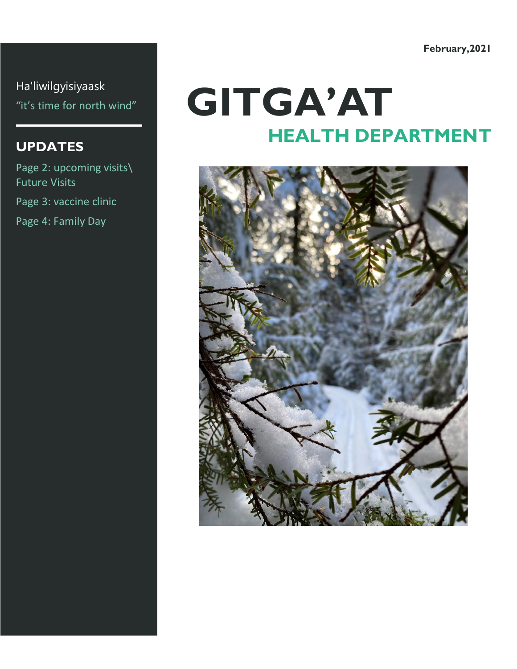**February,2021**

Ha'liwilgyisiyaask "it's time for north wind"

### **UPDATES**

Page 2: upcoming visits\ Future Visits Page 3: vaccine clinic Page 4: Family Day

# **GITGA'AT HEALTH DEPARTMENT**

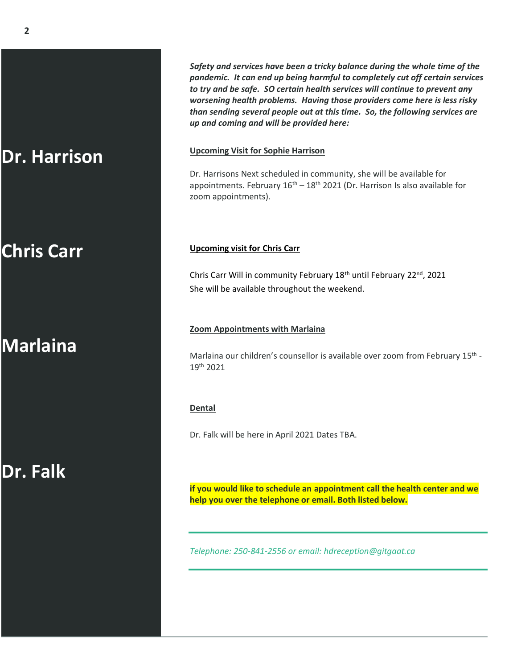*Safety and services have been a tricky balance during the whole time of the pandemic. It can end up being harmful to completely cut off certain services to try and be safe. SO certain health services will continue to prevent any worsening health problems. Having those providers come here is less risky than sending several people out at this time. So, the following services are up and coming and will be provided here:*

#### **Upcoming Visit for Sophie Harrison**

Dr. Harrisons Next scheduled in community, she will be available for appointments. February  $16<sup>th</sup> - 18<sup>th</sup>$  2021 (Dr. Harrison Is also available for zoom appointments).

#### **Upcoming visit for Chris Carr**

Chris Carr Will in community February 18<sup>th</sup> until February 22<sup>nd</sup>, 2021 She will be available throughout the weekend.

#### **Zoom Appointments with Marlaina**

Marlaina our children's counsellor is available over zoom from February 15<sup>th</sup> -19th 2021

#### **Dental**

Dr. Falk will be here in April 2021 Dates TBA.

**if you would like to schedule an appointment call the health center and we help you over the telephone or email. Both listed below.**

*Telephone: 250-841-2556 or email: hdreception@gitgaat.ca*

## **Chris Carr**

# **Marlaina**

**Dr. Falk**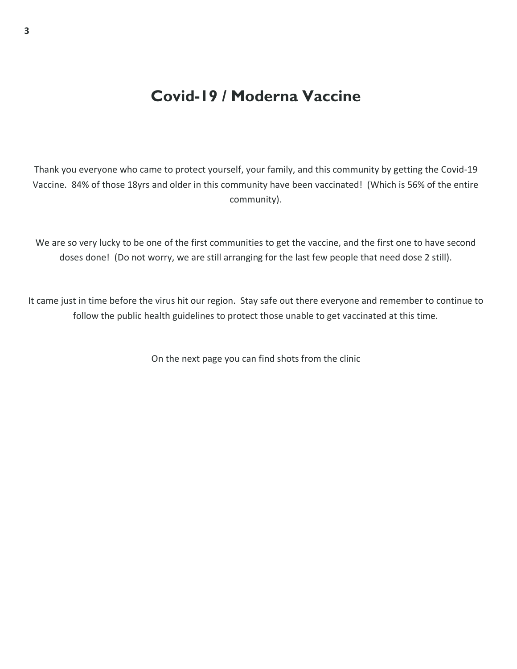### **Covid-19 / Moderna Vaccine**

Thank you everyone who came to protect yourself, your family, and this community by getting the Covid-19 Vaccine. 84% of those 18yrs and older in this community have been vaccinated! (Which is 56% of the entire community).

We are so very lucky to be one of the first communities to get the vaccine, and the first one to have second doses done! (Do not worry, we are still arranging for the last few people that need dose 2 still).

It came just in time before the virus hit our region. Stay safe out there everyone and remember to continue to follow the public health guidelines to protect those unable to get vaccinated at this time.

On the next page you can find shots from the clinic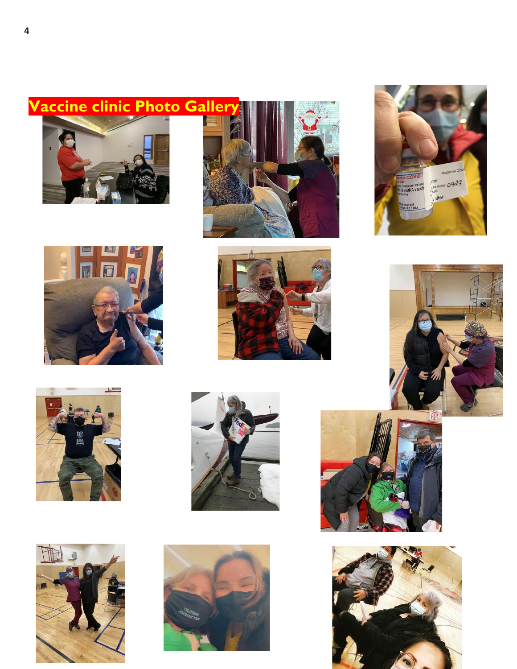# **Vaccine clinic Photo Galle**